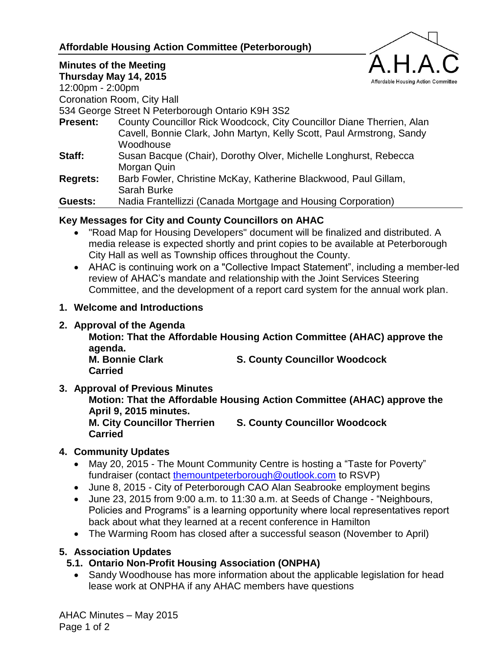### **Affordable Housing Action Committee (Peterborough)**



**Minutes of the Meeting**

**Thursday May 14, 2015** 12:00pm - 2:00pm

Coronation Room, City Hall

534 George Street N Peterborough Ontario K9H 3S2

- **Present:** County Councillor Rick Woodcock, City Councillor Diane Therrien, Alan Cavell, Bonnie Clark, John Martyn, Kelly Scott, Paul Armstrong, Sandy Woodhouse
- **Staff:** Susan Bacque (Chair), Dorothy Olver, Michelle Longhurst, Rebecca Morgan Quin
- **Regrets:** Barb Fowler, Christine McKay, Katherine Blackwood, Paul Gillam, Sarah Burke

**Guests:** Nadia Frantellizzi (Canada Mortgage and Housing Corporation)

## **Key Messages for City and County Councillors on AHAC**

- "Road Map for Housing Developers" document will be finalized and distributed. A media release is expected shortly and print copies to be available at Peterborough City Hall as well as Township offices throughout the County.
- AHAC is continuing work on a "Collective Impact Statement", including a member-led review of AHAC's mandate and relationship with the Joint Services Steering Committee, and the development of a report card system for the annual work plan.
- **1. Welcome and Introductions**
- **2. Approval of the Agenda**

**Motion: That the Affordable Housing Action Committee (AHAC) approve the agenda.**

**M. Bonnie Clark S. County Councillor Woodcock Carried**

**3. Approval of Previous Minutes**

**Motion: That the Affordable Housing Action Committee (AHAC) approve the April 9, 2015 minutes.**

**M. City Councillor Therrien S. County Councillor Woodcock Carried**

# **4. Community Updates**

- May 20, 2015 The Mount Community Centre is hosting a "Taste for Poverty" fundraiser (contact [themountpeterborough@outlook.com](mailto:themountpeterborough@outlook.com) to RSVP)
- June 8, 2015 City of Peterborough CAO Alan Seabrooke employment begins
- June 23, 2015 from 9:00 a.m. to 11:30 a.m. at Seeds of Change "Neighbours, Policies and Programs" is a learning opportunity where local representatives report back about what they learned at a recent conference in Hamilton
- The Warming Room has closed after a successful season (November to April)

## **5. Association Updates**

## **5.1. Ontario Non-Profit Housing Association (ONPHA)**

• Sandy Woodhouse has more information about the applicable legislation for head lease work at ONPHA if any AHAC members have questions

AHAC Minutes – May 2015 Page 1 of 2